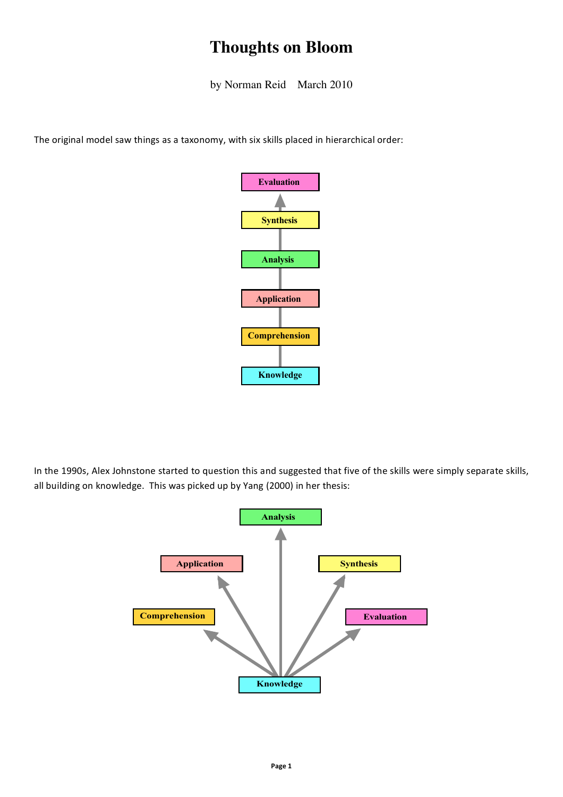## **Thoughts on Bloom**

by Norman Reid March 2010

The original model saw things as a taxonomy, with six skills placed in hierarchical order:



In the 1990s, Alex Johnstone started to question this and suggested that five of the skills were simply separate skills, all building on knowledge. This was picked up by Yang (2000) in her thesis:

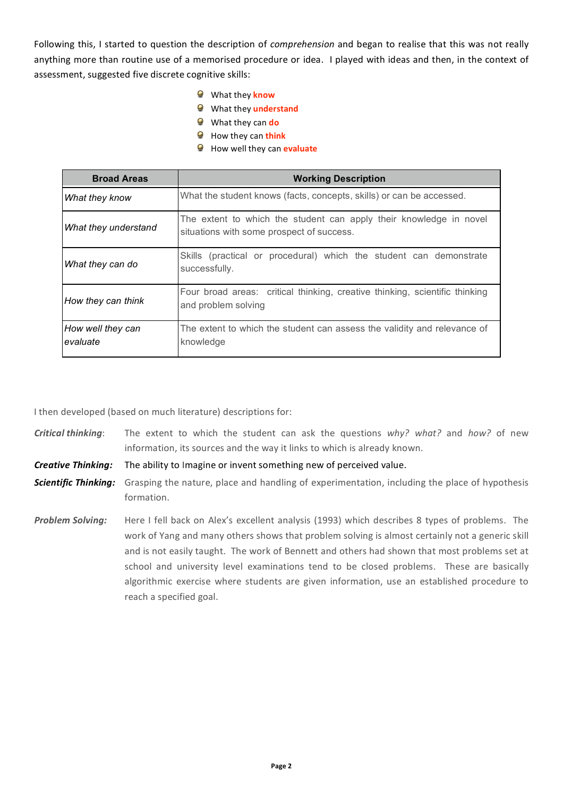Following this, I started to question the description of comprehension and began to realise that this was not really anything more than routine use of a memorised procedure or idea. I played with ideas and then, in the context of assessment, suggested five discrete cognitive skills:

- What they know
- **O** What they understand
- What they can do
- How they can think
- How well they can evaluate

| <b>Broad Areas</b>            | <b>Working Description</b>                                                                                      |
|-------------------------------|-----------------------------------------------------------------------------------------------------------------|
| <b>What they know</b>         | What the student knows (facts, concepts, skills) or can be accessed.                                            |
| What they understand          | The extent to which the student can apply their knowledge in novel<br>situations with some prospect of success. |
| What they can do              | Skills (practical or procedural) which the student can demonstrate<br>successfully.                             |
| How they can think            | Four broad areas: critical thinking, creative thinking, scientific thinking<br>and problem solving              |
| How well they can<br>evaluate | The extent to which the student can assess the validity and relevance of<br>knowledge                           |

I then developed (based on much literature) descriptions for:

**Critical thinking:** The extent to which the student can ask the questions why? what? and how? of new information, its sources and the way it links to which is already known.

**Creative Thinking:** The ability to Imagine or invent something new of perceived value.

- **Scientific Thinking:** Grasping the nature, place and handling of experimentation, including the place of hypothesis formation.
- Here I fell back on Alex's excellent analysis (1993) which describes 8 types of problems. The **Problem Solving:** work of Yang and many others shows that problem solving is almost certainly not a generic skill and is not easily taught. The work of Bennett and others had shown that most problems set at school and university level examinations tend to be closed problems. These are basically algorithmic exercise where students are given information, use an established procedure to reach a specified goal.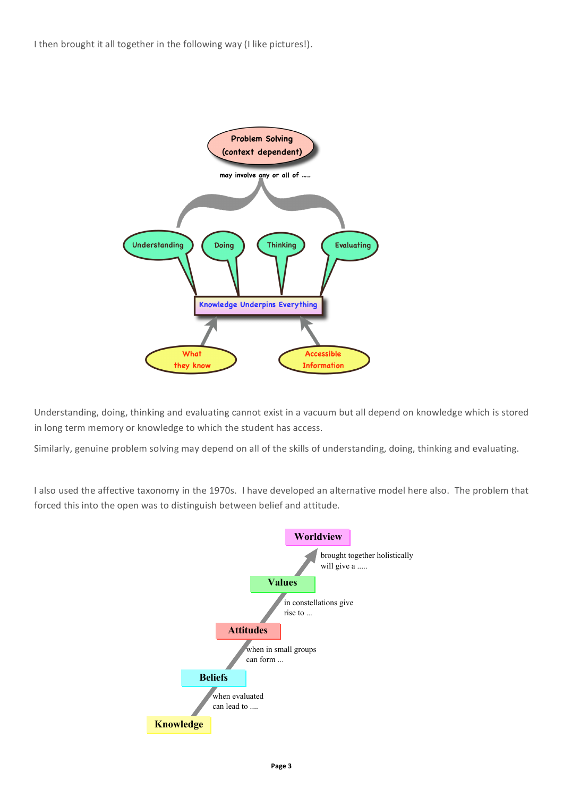I then brought it all together in the following way (I like pictures!).



Understanding, doing, thinking and evaluating cannot exist in a vacuum but all depend on knowledge which is stored in long term memory or knowledge to which the student has access.

Similarly, genuine problem solving may depend on all of the skills of understanding, doing, thinking and evaluating.

I also used the affective taxonomy in the 1970s. I have developed an alternative model here also. The problem that forced this into the open was to distinguish between belief and attitude.